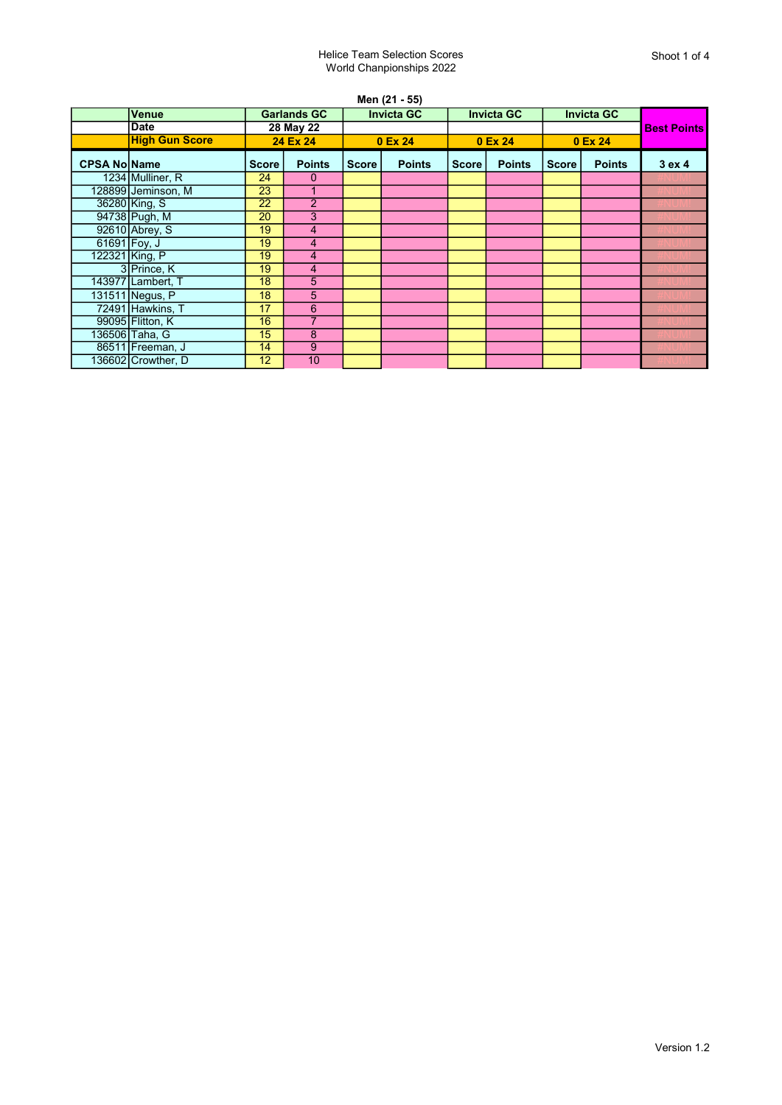## Helice Team Selection Scores World Chanpionships 2022

Men (21 - 55)

|                     | <b>Venue</b>          | <b>Garlands GC</b> |                |              | <b>Invicta GC</b> |              | <b>Invicta GC</b> | <b>Invicta GC</b> |               |                    |
|---------------------|-----------------------|--------------------|----------------|--------------|-------------------|--------------|-------------------|-------------------|---------------|--------------------|
|                     | <b>Date</b>           | 28 May 22          |                |              |                   |              |                   |                   |               | <b>Best Points</b> |
|                     | <b>High Gun Score</b> |                    | 24 Ex 24       |              | 0 Ex 24           |              | 0 Ex 24           |                   | 0 Ex 24       |                    |
| <b>CPSA NolName</b> |                       | <b>Score</b>       | <b>Points</b>  | <b>Score</b> | <b>Points</b>     | <b>Score</b> | <b>Points</b>     | <b>Score</b>      | <b>Points</b> | 3 ex 4             |
|                     | 1234 Mulliner, R      | 24                 | 0              |              |                   |              |                   |                   |               |                    |
|                     | 128899 Jeminson, M    | $\overline{23}$    |                |              |                   |              |                   |                   |               |                    |
|                     | 36280 King, S         | 22                 | $\overline{2}$ |              |                   |              |                   |                   |               |                    |
|                     | 94738 Pugh, M         | 20                 | 3              |              |                   |              |                   |                   |               |                    |
|                     | 92610 Abrey, S        | 19                 | 4              |              |                   |              |                   |                   |               |                    |
|                     | 61691 Foy, J          | 19                 | 4              |              |                   |              |                   |                   |               |                    |
|                     | 122321 King, P        | 19                 | 4              |              |                   |              |                   |                   |               |                    |
|                     | 3 Prince, K           | 19                 | 4              |              |                   |              |                   |                   |               |                    |
|                     | 143977 Lambert, T     | 18                 | $\overline{5}$ |              |                   |              |                   |                   |               |                    |
|                     | 131511 Negus, P       | 18                 | 5              |              |                   |              |                   |                   |               |                    |
|                     | 72491 Hawkins, T      | 17                 | 6              |              |                   |              |                   |                   |               |                    |
|                     | 99095 Flitton, K      | 16                 | 7              |              |                   |              |                   |                   |               |                    |
|                     | 136506 Taha, G        | 15                 | 8              |              |                   |              |                   |                   |               |                    |
|                     | 86511 Freeman, J      | 14                 | 9              |              |                   |              |                   |                   |               |                    |
|                     | 136602 Crowther, D    | 12                 | 10             |              |                   |              |                   |                   |               |                    |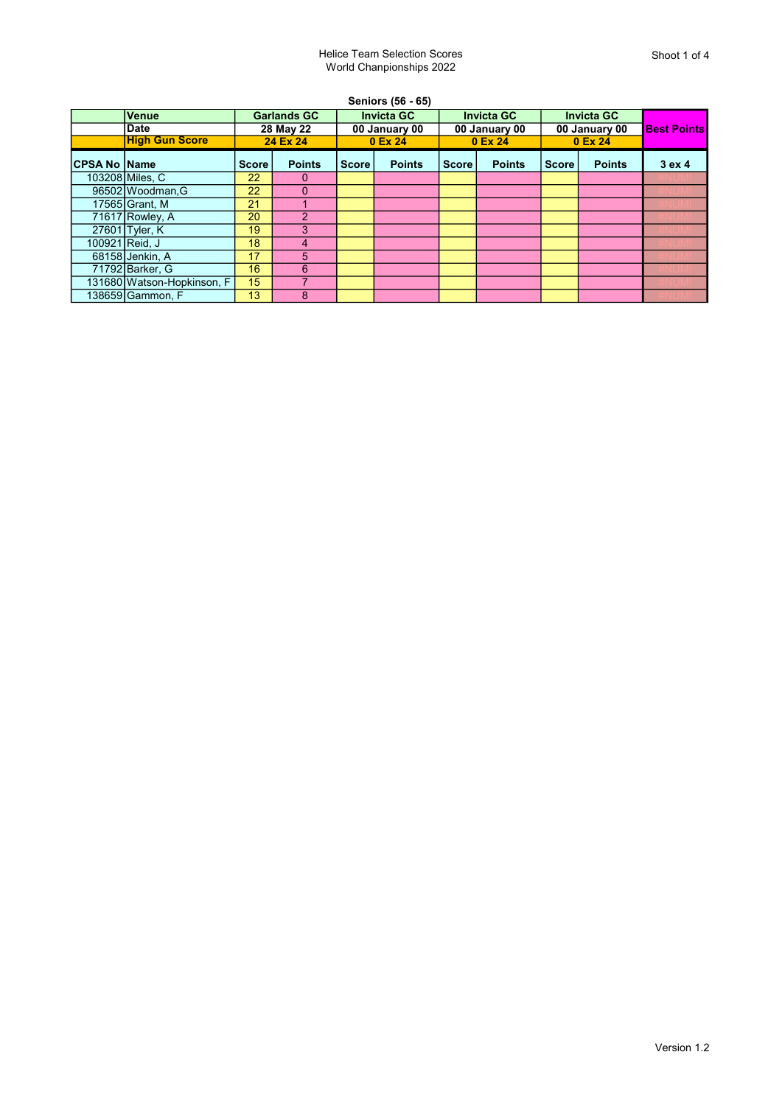## Helice Team Selection Scores World Chanpionships 2022

|                |                            |                                             |               |                                               | Seniors (56 - 65) |                                               |               |                                               |               |                    |
|----------------|----------------------------|---------------------------------------------|---------------|-----------------------------------------------|-------------------|-----------------------------------------------|---------------|-----------------------------------------------|---------------|--------------------|
|                | <b>Venue</b>               | <b>Garlands GC</b><br>28 May 22<br>24 Ex 24 |               | <b>Invicta GC</b><br>00 January 00<br>0 Ex 24 |                   | <b>Invicta GC</b><br>00 January 00<br>0 Ex 24 |               | <b>Invicta GC</b><br>00 January 00<br>0 Ex 24 |               | <b>Best Points</b> |
|                | <b>Date</b>                |                                             |               |                                               |                   |                                               |               |                                               |               |                    |
|                | <b>High Gun Score</b>      |                                             |               |                                               |                   |                                               |               |                                               |               |                    |
| ∣CPSA No ∣Name |                            | Score                                       | <b>Points</b> | <b>Score</b>                                  | <b>Points</b>     | <b>Score</b>                                  | <b>Points</b> | <b>Score</b>                                  | <b>Points</b> | 3ex4               |
|                | 103208 Miles, C            | 22                                          | 0             |                                               |                   |                                               |               |                                               |               |                    |
|                | 96502 Woodman.G            | 22                                          | $\Omega$      |                                               |                   |                                               |               |                                               |               |                    |
|                | 17565 Grant, M             | 21                                          |               |                                               |                   |                                               |               |                                               |               |                    |
|                | $71617$ Rowley, A          | 20                                          | $\mathcal{P}$ |                                               |                   |                                               |               |                                               |               |                    |
|                | 27601 Tyler, K             | 19                                          | 3             |                                               |                   |                                               |               |                                               |               |                    |
|                | 100921 Reid, J             | 18                                          | 4             |                                               |                   |                                               |               |                                               |               |                    |
|                | 68158 Jenkin, A            | 17                                          | 5             |                                               |                   |                                               |               |                                               |               |                    |
|                | 71792 Barker, G            | 16                                          | 6             |                                               |                   |                                               |               |                                               |               |                    |
|                | 131680 Watson-Hopkinson, F | 15                                          |               |                                               |                   |                                               |               |                                               |               |                    |
|                | 138659İGammon. F           | 13                                          | 8             |                                               |                   |                                               |               |                                               |               |                    |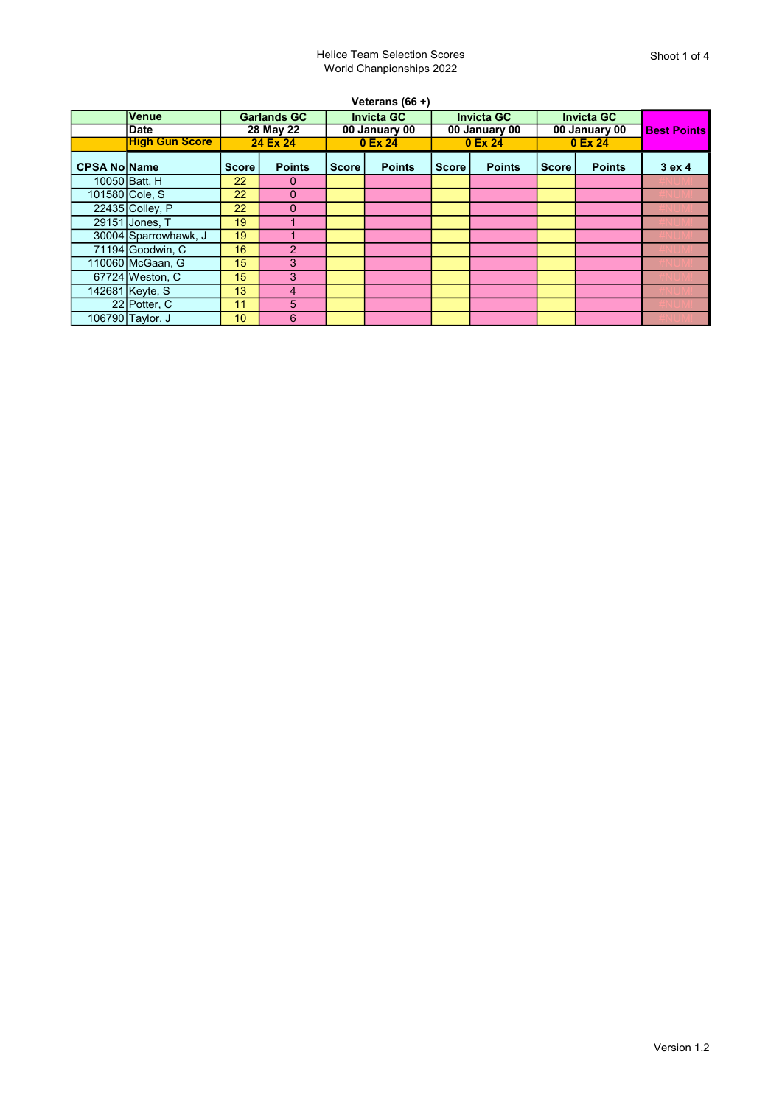| Veterans $(66 +)$   |                       |                    |                |                   |               |                   |               |                   |               |                    |
|---------------------|-----------------------|--------------------|----------------|-------------------|---------------|-------------------|---------------|-------------------|---------------|--------------------|
|                     | Venue                 | <b>Garlands GC</b> |                | <b>Invicta GC</b> |               | <b>Invicta GC</b> |               | <b>Invicta GC</b> |               |                    |
|                     | <b>Date</b>           |                    | 28 May 22      | 00 January 00     |               | 00 January 00     |               | 00 January 00     |               | <b>Best Points</b> |
|                     | <b>High Gun Score</b> |                    | 24 Ex 24       |                   | 0 Ex 24       |                   | 0 Ex 24       |                   | 0 Ex 24       |                    |
| <b>CPSA No Name</b> |                       | <b>Score</b>       | <b>Points</b>  | <b>Score</b>      | <b>Points</b> | <b>Score</b>      | <b>Points</b> | <b>Score</b>      | <b>Points</b> | 3 ex 4             |
|                     | 10050 Batt. H         | 22                 | 0              |                   |               |                   |               |                   |               |                    |
|                     | 101580 Cole, S        | $22^{\circ}$       | 0              |                   |               |                   |               |                   |               |                    |
|                     | 22435 Colley, P       | 22                 | $\Omega$       |                   |               |                   |               |                   |               |                    |
|                     | 29151 Jones, T        | 19                 |                |                   |               |                   |               |                   |               |                    |
|                     | 30004 Sparrowhawk, J  | 19                 |                |                   |               |                   |               |                   |               |                    |
|                     | 71194 Goodwin, C      | 16                 | $\overline{2}$ |                   |               |                   |               |                   |               |                    |
|                     | 110060 McGaan, G      | 15                 | 3              |                   |               |                   |               |                   |               |                    |
|                     | 67724 Weston, C       | 15                 | 3              |                   |               |                   |               |                   |               |                    |
|                     | 142681 Keyte, S       | 13                 | 4              |                   |               |                   |               |                   |               |                    |
|                     | 22 Potter, C          | 11                 | 5              |                   |               |                   |               |                   |               |                    |
|                     | 106790 Taylor, J      | 10                 | 6              |                   |               |                   |               |                   |               |                    |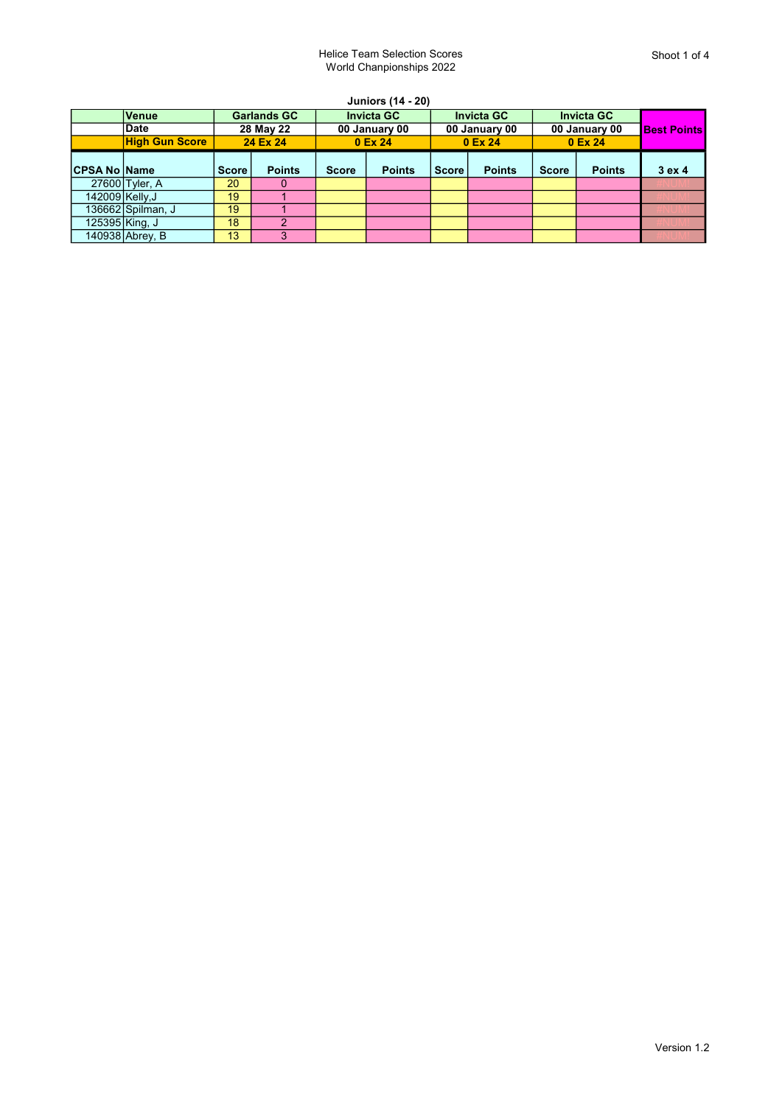| <b>Juniors (14 - 20)</b> |                       |              |                    |              |                   |              |                   |              |                   |      |
|--------------------------|-----------------------|--------------|--------------------|--------------|-------------------|--------------|-------------------|--------------|-------------------|------|
|                          | <b>Venue</b>          |              | <b>Garlands GC</b> |              | <b>Invicta GC</b> |              | <b>Invicta GC</b> |              | <b>Invicta GC</b> |      |
|                          | <b>Date</b>           |              | 28 May 22          |              | 00 January 00     |              | 00 January 00     |              | 00 January 00     |      |
|                          | <b>High Gun Score</b> |              | 24 Ex 24           |              | 0 Ex 24           |              | 0 Ex 24           |              | 0 Ex 24           |      |
| <b>CPSA No Name</b>      |                       | <b>Score</b> | <b>Points</b>      | <b>Score</b> | <b>Points</b>     | <b>Score</b> | <b>Points</b>     | <b>Score</b> | <b>Points</b>     | 3ex4 |
|                          | 27600 Tyler, A        | 20           | $\Omega$           |              |                   |              |                   |              |                   |      |
| 142009 Kelly, J          |                       | 19           |                    |              |                   |              |                   |              |                   |      |
|                          | 136662 Spilman, J     | 19           |                    |              |                   |              |                   |              |                   |      |
|                          | 125395 King, J        | 18           | 2                  |              |                   |              |                   |              |                   |      |
|                          | 140938 Abrey, B       | 13           | 3                  |              |                   |              |                   |              |                   |      |